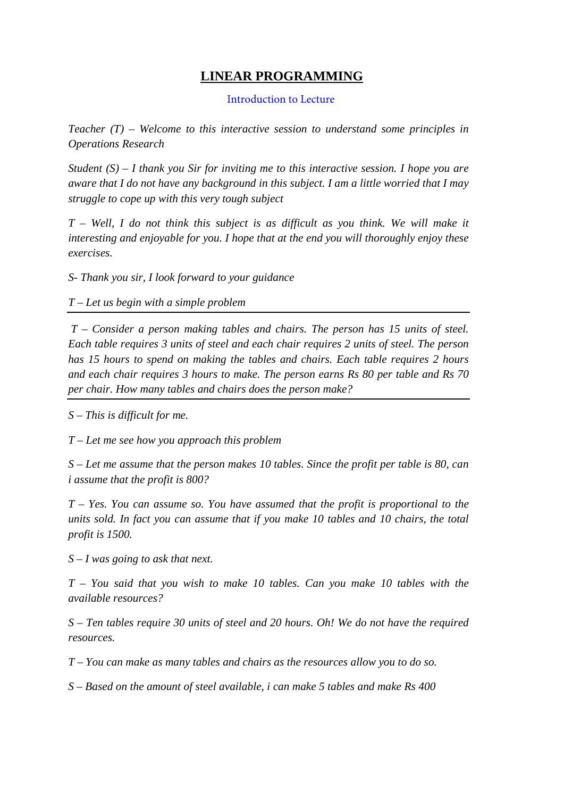# **LINEAR PROGRAMMING**

#### [Introduction to Lecture](http://nptel.ac.in/flvplayer/flv/video1/flv.php)

*Teacher (T) – Welcome to this interactive session to understand some principles in Operations Research* 

*Student (S) – I thank you Sir for inviting me to this interactive session. I hope you are aware that I do not have any background in this subject. I am a little worried that I may struggle to cope up with this very tough subject* 

*T – Well, I do not think this subject is as difficult as you think. We will make it interesting and enjoyable for you. I hope that at the end you will thoroughly enjoy these exercises.*

*S- Thank you sir, I look forward to your guidance* 

# *T – Let us begin with a simple problem*

*T – Consider a person making tables and chairs. The person has 15 units of steel. Each table requires 3 units of steel and each chair requires 2 units of steel. The person has 15 hours to spend on making the tables and chairs. Each table requires 2 hours and each chair requires 3 hours to make. The person earns Rs 80 per table and Rs 70 per chair. How many tables and chairs does the person make?*

*S – This is difficult for me.* 

*T – Let me see how you approach this problem* 

*S – Let me assume that the person makes 10 tables. Since the profit per table is 80, can i assume that the profit is 800?* 

*T – Yes. You can assume so. You have assumed that the profit is proportional to the units sold. In fact you can assume that if you make 10 tables and 10 chairs, the total profit is 1500.* 

*S – I was going to ask that next.* 

*T – You said that you wish to make 10 tables. Can you make 10 tables with the available resources?*

*S – Ten tables require 30 units of steel and 20 hours. Oh! We do not have the required resources.* 

*T – You can make as many tables and chairs as the resources allow you to do so.* 

*S – Based on the amount of steel available, i can make 5 tables and make Rs 400*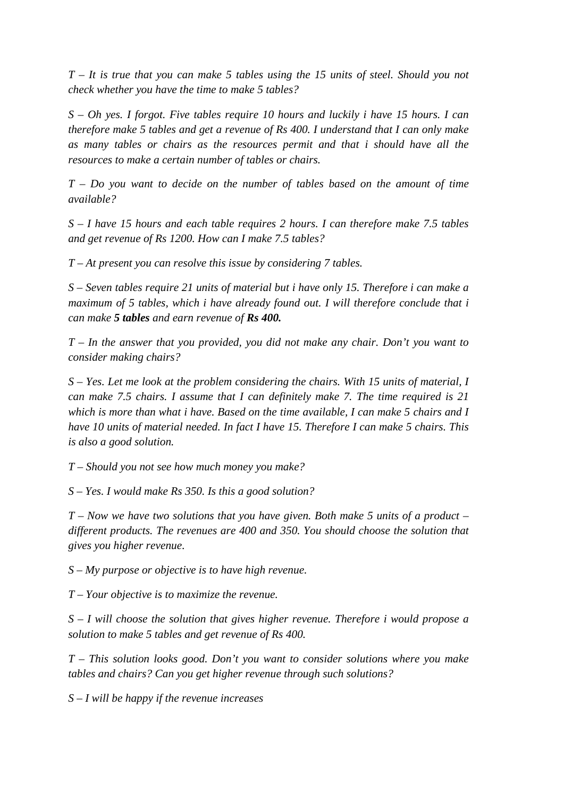*T – It is true that you can make 5 tables using the 15 units of steel. Should you not check whether you have the time to make 5 tables?*

*S – Oh yes. I forgot. Five tables require 10 hours and luckily i have 15 hours. I can therefore make 5 tables and get a revenue of Rs 400. I understand that I can only make as many tables or chairs as the resources permit and that i should have all the resources to make a certain number of tables or chairs.*

*T – Do you want to decide on the number of tables based on the amount of time available?*

*S – I have 15 hours and each table requires 2 hours. I can therefore make 7.5 tables and get revenue of Rs 1200. How can I make 7.5 tables?*

*T – At present you can resolve this issue by considering 7 tables.*

*S – Seven tables require 21 units of material but i have only 15. Therefore i can make a maximum of 5 tables, which i have already found out. I will therefore conclude that i can make 5 tables and earn revenue of Rs 400.*

*T – In the answer that you provided, you did not make any chair. Don't you want to consider making chairs?*

*S – Yes. Let me look at the problem considering the chairs. With 15 units of material, I can make 7.5 chairs. I assume that I can definitely make 7. The time required is 21 which is more than what i have. Based on the time available, I can make 5 chairs and I have 10 units of material needed. In fact I have 15. Therefore I can make 5 chairs. This is also a good solution.*

*T – Should you not see how much money you make?*

*S – Yes. I would make Rs 350. Is this a good solution?*

*T – Now we have two solutions that you have given. Both make 5 units of a product – different products. The revenues are 400 and 350. You should choose the solution that gives you higher revenue.*

*S – My purpose or objective is to have high revenue.*

*T – Your objective is to maximize the revenue.*

*S – I will choose the solution that gives higher revenue. Therefore i would propose a solution to make 5 tables and get revenue of Rs 400.*

*T – This solution looks good. Don't you want to consider solutions where you make tables and chairs? Can you get higher revenue through such solutions?*

*S – I will be happy if the revenue increases*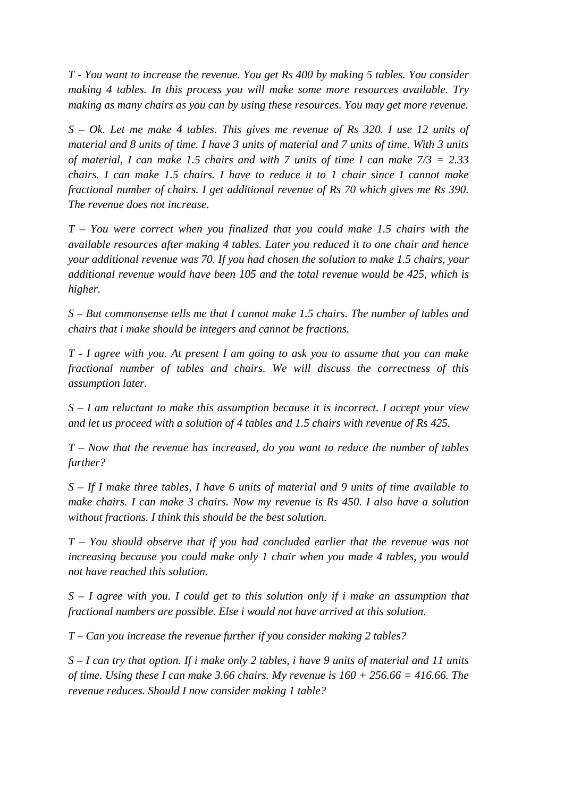*T - You want to increase the revenue. You get Rs 400 by making 5 tables. You consider making 4 tables. In this process you will make some more resources available. Try making as many chairs as you can by using these resources. You may get more revenue.*

*S – Ok. Let me make 4 tables. This gives me revenue of Rs 320. I use 12 units of material and 8 units of time. I have 3 units of material and 7 units of time. With 3 units of material, I can make 1.5 chairs and with 7 units of time I can make 7/3 = 2.33 chairs. I can make 1.5 chairs. I have to reduce it to 1 chair since I cannot make fractional number of chairs. I get additional revenue of Rs 70 which gives me Rs 390. The revenue does not increase.*

*T – You were correct when you finalized that you could make 1.5 chairs with the available resources after making 4 tables. Later you reduced it to one chair and hence your additional revenue was 70. If you had chosen the solution to make 1.5 chairs, your additional revenue would have been 105 and the total revenue would be 425, which is higher.*

*S – But commonsense tells me that I cannot make 1.5 chairs. The number of tables and chairs that i make should be integers and cannot be fractions.* 

*T - I agree with you. At present I am going to ask you to assume that you can make fractional number of tables and chairs. We will discuss the correctness of this assumption later.*

*S – I am reluctant to make this assumption because it is incorrect. I accept your view and let us proceed with a solution of 4 tables and 1.5 chairs with revenue of Rs 425.*

*T – Now that the revenue has increased, do you want to reduce the number of tables further?*

*S – If I make three tables, I have 6 units of material and 9 units of time available to make chairs. I can make 3 chairs. Now my revenue is Rs 450. I also have a solution without fractions. I think this should be the best solution.*

*T – You should observe that if you had concluded earlier that the revenue was not increasing because you could make only 1 chair when you made 4 tables, you would not have reached this solution.*

*S – I agree with you. I could get to this solution only if i make an assumption that fractional numbers are possible. Else i would not have arrived at this solution.* 

*T – Can you increase the revenue further if you consider making 2 tables?*

*S – I can try that option. If i make only 2 tables, i have 9 units of material and 11 units of time. Using these I can make 3.66 chairs. My revenue is 160 + 256.66 = 416.66. The revenue reduces. Should I now consider making 1 table?*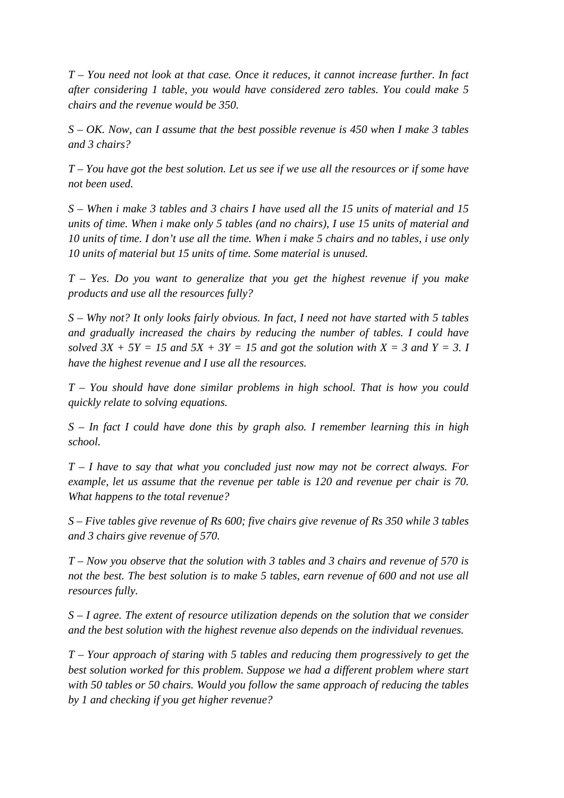*T – You need not look at that case. Once it reduces, it cannot increase further. In fact after considering 1 table, you would have considered zero tables. You could make 5 chairs and the revenue would be 350.* 

*S – OK. Now, can I assume that the best possible revenue is 450 when I make 3 tables and 3 chairs?*

*T – You have got the best solution. Let us see if we use all the resources or if some have not been used.*

*S – When i make 3 tables and 3 chairs I have used all the 15 units of material and 15 units of time. When i make only 5 tables (and no chairs), I use 15 units of material and 10 units of time. I don't use all the time. When i make 5 chairs and no tables, i use only 10 units of material but 15 units of time. Some material is unused.*

*T – Yes. Do you want to generalize that you get the highest revenue if you make products and use all the resources fully?*

*S – Why not? It only looks fairly obvious. In fact, I need not have started with 5 tables and gradually increased the chairs by reducing the number of tables. I could have*  solved  $3X + 5Y = 15$  and  $5X + 3Y = 15$  and got the solution with  $X = 3$  and  $Y = 3$ . *have the highest revenue and I use all the resources.*

*T – You should have done similar problems in high school. That is how you could quickly relate to solving equations.*

*S – In fact I could have done this by graph also. I remember learning this in high school.*

*T – I have to say that what you concluded just now may not be correct always. For example, let us assume that the revenue per table is 120 and revenue per chair is 70. What happens to the total revenue?*

*S – Five tables give revenue of Rs 600; five chairs give revenue of Rs 350 while 3 tables and 3 chairs give revenue of 570.*

*T – Now you observe that the solution with 3 tables and 3 chairs and revenue of 570 is not the best. The best solution is to make 5 tables, earn revenue of 600 and not use all resources fully.*

*S – I agree. The extent of resource utilization depends on the solution that we consider and the best solution with the highest revenue also depends on the individual revenues.*

*T – Your approach of staring with 5 tables and reducing them progressively to get the best solution worked for this problem. Suppose we had a different problem where start with 50 tables or 50 chairs. Would you follow the same approach of reducing the tables by 1 and checking if you get higher revenue?*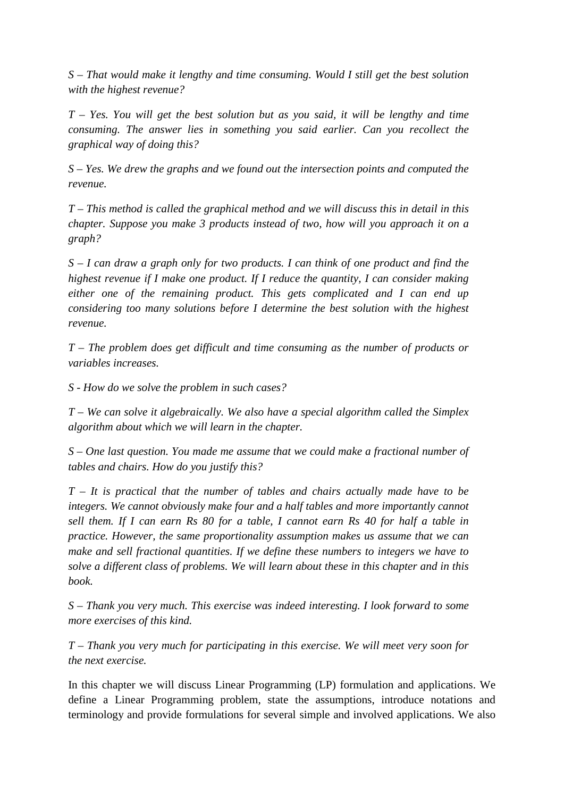*S – That would make it lengthy and time consuming. Would I still get the best solution with the highest revenue?*

*T – Yes. You will get the best solution but as you said, it will be lengthy and time consuming. The answer lies in something you said earlier. Can you recollect the graphical way of doing this?*

*S – Yes. We drew the graphs and we found out the intersection points and computed the revenue.*

*T – This method is called the graphical method and we will discuss this in detail in this chapter. Suppose you make 3 products instead of two, how will you approach it on a graph?*

*S – I can draw a graph only for two products. I can think of one product and find the highest revenue if I make one product. If I reduce the quantity, I can consider making either one of the remaining product. This gets complicated and I can end up considering too many solutions before I determine the best solution with the highest revenue.*

*T – The problem does get difficult and time consuming as the number of products or variables increases.* 

*S - How do we solve the problem in such cases?*

*T – We can solve it algebraically. We also have a special algorithm called the Simplex algorithm about which we will learn in the chapter.*

*S – One last question. You made me assume that we could make a fractional number of tables and chairs. How do you justify this?*

*T – It is practical that the number of tables and chairs actually made have to be integers. We cannot obviously make four and a half tables and more importantly cannot sell them. If I can earn Rs 80 for a table, I cannot earn Rs 40 for half a table in practice. However, the same proportionality assumption makes us assume that we can make and sell fractional quantities. If we define these numbers to integers we have to solve a different class of problems. We will learn about these in this chapter and in this book.*

*S – Thank you very much. This exercise was indeed interesting. I look forward to some more exercises of this kind.*

*T – Thank you very much for participating in this exercise. We will meet very soon for the next exercise.*

In this chapter we will discuss Linear Programming (LP) formulation and applications. We define a Linear Programming problem, state the assumptions, introduce notations and terminology and provide formulations for several simple and involved applications. We also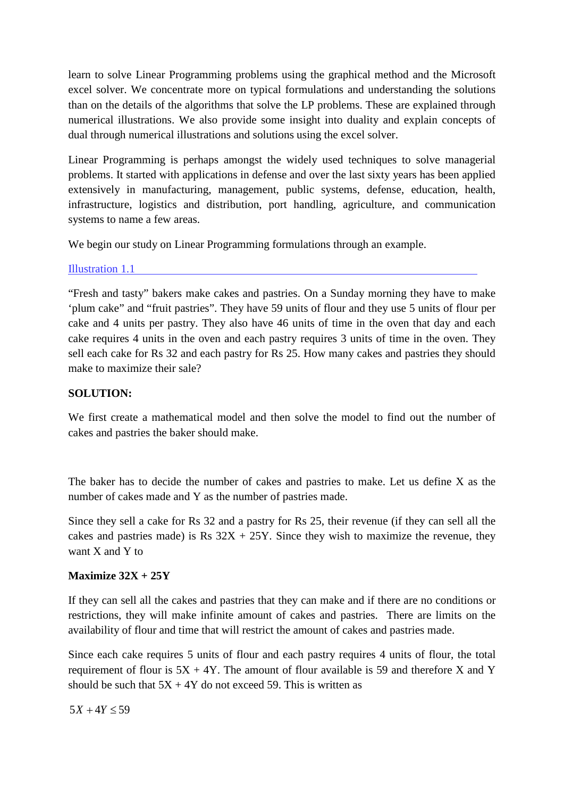learn to solve Linear Programming problems using the graphical method and the Microsoft excel solver. We concentrate more on typical formulations and understanding the solutions than on the details of the algorithms that solve the LP problems. These are explained through numerical illustrations. We also provide some insight into duality and explain concepts of dual through numerical illustrations and solutions using the excel solver.

Linear Programming is perhaps amongst the widely used techniques to solve managerial problems. It started with applications in defense and over the last sixty years has been applied extensively in manufacturing, management, public systems, defense, education, health, infrastructure, logistics and distribution, port handling, agriculture, and communication systems to name a few areas.

We begin our study on Linear Programming formulations through an example.

Illustration 1.1

"Fresh and tasty" bakers make cakes and pastries. On a Sunday morning they have to make 'plum cake" and "fruit pastries". They have 59 units of flour and they use 5 units of flour per cake and 4 units per pastry. They also have 46 units of time in the oven that day and each cake requires 4 units in the oven and each pastry requires 3 units of time in the oven. They sell each cake for Rs 32 and each pastry for Rs 25. How many cakes and pastries they should make to maximize their sale?

# **SOLUTION:**

We first create a mathematical model and then solve the model to find out the number of cakes and pastries the baker should make.

The baker has to decide the number of cakes and pastries to make. Let us define X as the number of cakes made and Y as the number of pastries made.

Since they sell a cake for Rs 32 and a pastry for Rs 25, their revenue (if they can sell all the cakes and pastries made) is Rs  $32X + 25Y$ . Since they wish to maximize the revenue, they want X and Y to

# **Maximize 32X + 25Y**

If they can sell all the cakes and pastries that they can make and if there are no conditions or restrictions, they will make infinite amount of cakes and pastries. There are limits on the availability of flour and time that will restrict the amount of cakes and pastries made.

Since each cake requires 5 units of flour and each pastry requires 4 units of flour, the total requirement of flour is  $5X + 4Y$ . The amount of flour available is 59 and therefore X and Y should be such that  $5X + 4Y$  do not exceed 59. This is written as

 $5X + 4Y \le 59$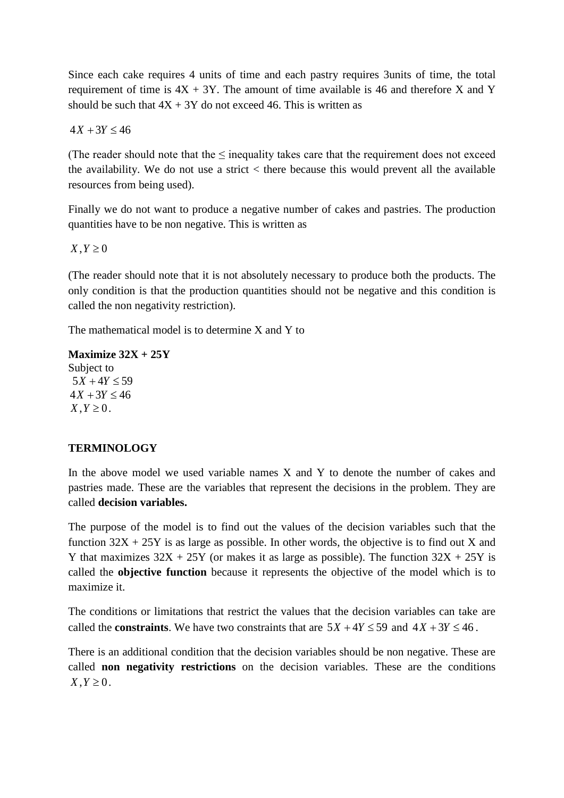Since each cake requires 4 units of time and each pastry requires 3units of time, the total requirement of time is  $4X + 3Y$ . The amount of time available is 46 and therefore X and Y should be such that  $4X + 3Y$  do not exceed 46. This is written as

 $4X + 3Y \le 46$ 

(The reader should note that the  $\leq$  inequality takes care that the requirement does not exceed the availability. We do not use a strict < there because this would prevent all the available resources from being used).

Finally we do not want to produce a negative number of cakes and pastries. The production quantities have to be non negative. This is written as

 $X, Y \geq 0$ 

(The reader should note that it is not absolutely necessary to produce both the products. The only condition is that the production quantities should not be negative and this condition is called the non negativity restriction).

The mathematical model is to determine X and Y to

**Maximize 32X + 25Y** Subject to  $5X + 4Y \le 59$  $4X + 3Y \le 46$  $X, Y \geq 0$ .

# **TERMINOLOGY**

In the above model we used variable names  $X$  and  $Y$  to denote the number of cakes and pastries made. These are the variables that represent the decisions in the problem. They are called **decision variables.**

The purpose of the model is to find out the values of the decision variables such that the function  $32X + 25Y$  is as large as possible. In other words, the objective is to find out X and Y that maximizes  $32X + 25Y$  (or makes it as large as possible). The function  $32X + 25Y$  is called the **objective function** because it represents the objective of the model which is to maximize it.

The conditions or limitations that restrict the values that the decision variables can take are called the **constraints**. We have two constraints that are  $5X + 4Y \le 59$  and  $4X + 3Y \le 46$ .

There is an additional condition that the decision variables should be non negative. These are called **non negativity restrictions** on the decision variables. These are the conditions  $X, Y \geq 0$ .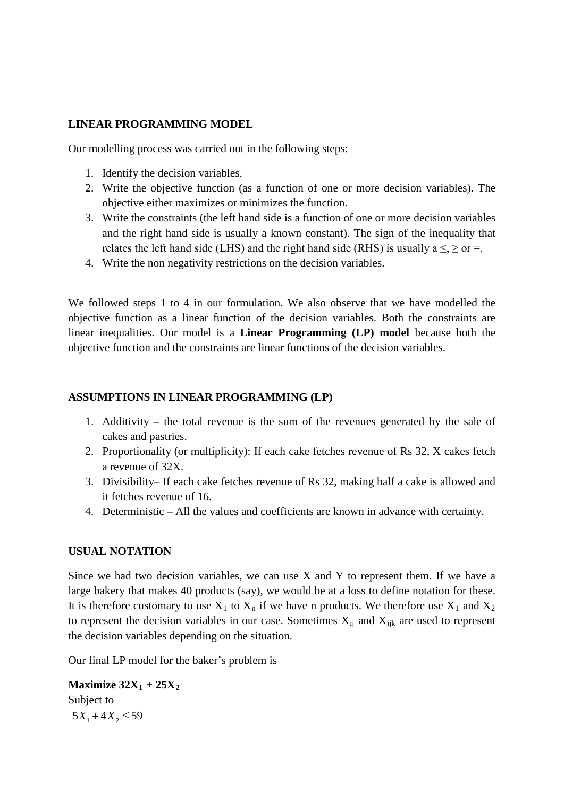## **LINEAR PROGRAMMING MODEL**

Our modelling process was carried out in the following steps:

- 1. Identify the decision variables.
- 2. Write the objective function (as a function of one or more decision variables). The objective either maximizes or minimizes the function.
- 3. Write the constraints (the left hand side is a function of one or more decision variables and the right hand side is usually a known constant). The sign of the inequality that relates the left hand side (LHS) and the right hand side (RHS) is usually a  $\leq$ ,  $\geq$  or  $=$ .
- 4. Write the non negativity restrictions on the decision variables.

We followed steps 1 to 4 in our formulation. We also observe that we have modelled the objective function as a linear function of the decision variables. Both the constraints are linear inequalities. Our model is a **Linear Programming (LP) model** because both the objective function and the constraints are linear functions of the decision variables.

# **ASSUMPTIONS IN LINEAR PROGRAMMING (LP)**

- 1. Additivity the total revenue is the sum of the revenues generated by the sale of cakes and pastries.
- 2. Proportionality (or multiplicity): If each cake fetches revenue of Rs 32, X cakes fetch a revenue of 32X.
- 3. Divisibility– If each cake fetches revenue of Rs 32, making half a cake is allowed and it fetches revenue of 16.
- 4. Deterministic All the values and coefficients are known in advance with certainty.

# **USUAL NOTATION**

Since we had two decision variables, we can use X and Y to represent them. If we have a large bakery that makes 40 products (say), we would be at a loss to define notation for these. It is therefore customary to use  $X_1$  to  $X_n$  if we have n products. We therefore use  $X_1$  and  $X_2$ to represent the decision variables in our case. Sometimes  $X_{ij}$  and  $X_{ijk}$  are used to represent the decision variables depending on the situation.

Our final LP model for the baker's problem is

**Maximize**  $32X_1 + 25X_2$ Subject to  $5X_1 + 4X_2 \leq 59$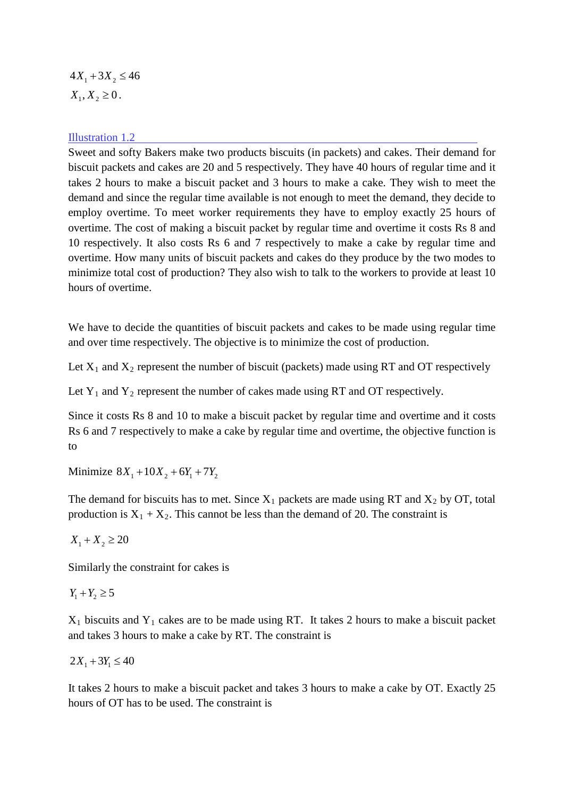$4X_1 + 3X_2 \le 46$  $X_1, X_2 \geq 0$ .

#### Illustration 1.2

Sweet and softy Bakers make two products biscuits (in packets) and cakes. Their demand for biscuit packets and cakes are 20 and 5 respectively. They have 40 hours of regular time and it takes 2 hours to make a biscuit packet and 3 hours to make a cake. They wish to meet the demand and since the regular time available is not enough to meet the demand, they decide to employ overtime. To meet worker requirements they have to employ exactly 25 hours of overtime. The cost of making a biscuit packet by regular time and overtime it costs Rs 8 and 10 respectively. It also costs Rs 6 and 7 respectively to make a cake by regular time and overtime. How many units of biscuit packets and cakes do they produce by the two modes to minimize total cost of production? They also wish to talk to the workers to provide at least 10 hours of overtime.

We have to decide the quantities of biscuit packets and cakes to be made using regular time and over time respectively. The objective is to minimize the cost of production.

Let  $X_1$  and  $X_2$  represent the number of biscuit (packets) made using RT and OT respectively

Let  $Y_1$  and  $Y_2$  represent the number of cakes made using RT and OT respectively.

Since it costs Rs 8 and 10 to make a biscuit packet by regular time and overtime and it costs Rs 6 and 7 respectively to make a cake by regular time and overtime, the objective function is to

Minimize  $8X_1 + 10X_2 + 6Y_1 + 7Y_2$ 

The demand for biscuits has to met. Since  $X_1$  packets are made using RT and  $X_2$  by OT, total production is  $X_1 + X_2$ . This cannot be less than the demand of 20. The constraint is

 $X_1 + X_2 \ge 20$ 

Similarly the constraint for cakes is

 $Y_1 + Y_2 \ge 5$ 

 $X_1$  biscuits and  $Y_1$  cakes are to be made using RT. It takes 2 hours to make a biscuit packet and takes 3 hours to make a cake by RT. The constraint is

 $2X_1 + 3Y_1 \leq 40$ 

It takes 2 hours to make a biscuit packet and takes 3 hours to make a cake by OT. Exactly 25 hours of OT has to be used. The constraint is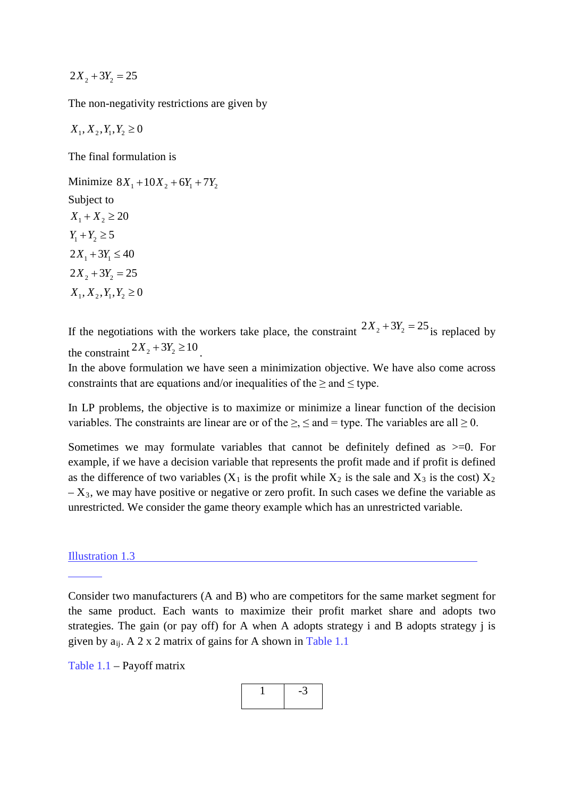$$
2X_2 + 3Y_2 = 25
$$

The non-negativity restrictions are given by

 $X_1, X_2, Y_1, Y_2 \geq 0$ 

The final formulation is

Minimize  $8X_1 + 10X_2 + 6Y_1 + 7Y_2$ Subject to  $X_1 + X_2 \ge 20$  $Y_1 + Y_2 \ge 5$  $2X_1 + 3Y_1 \leq 40$  $2X_2 + 3Y_2 = 25$  $X_1, X_2, Y_1, Y_2 \ge 0$ 

If the negotiations with the workers take place, the constraint  $2X_2 + 3Y_2 = 25$  is replaced by the constraint  $2X_2 + 3Y_2 \ge 10$ 

In the above formulation we have seen a minimization objective. We have also come across constraints that are equations and/or inequalities of the  $\geq$  and  $\leq$  type.

In LP problems, the objective is to maximize or minimize a linear function of the decision variables. The constraints are linear are or of the  $\geq$ ,  $\leq$  and = type. The variables are all  $\geq$  0.

Sometimes we may formulate variables that cannot be definitely defined as  $>=0$ . For example, if we have a decision variable that represents the profit made and if profit is defined as the difference of two variables  $(X_1$  is the profit while  $X_2$  is the sale and  $X_3$  is the cost)  $X_2$  $- X_3$ , we may have positive or negative or zero profit. In such cases we define the variable as unrestricted. We consider the game theory example which has an unrestricted variable.

#### Illustration 1.3

Consider two manufacturers (A and B) who are competitors for the same market segment for the same product. Each wants to maximize their profit market share and adopts two strategies. The gain (or pay off) for A when A adopts strategy i and B adopts strategy j is given by  $a_{ii}$ . A 2 x 2 matrix of gains for A shown in Table 1.1

Table 1.1 – Payoff matrix

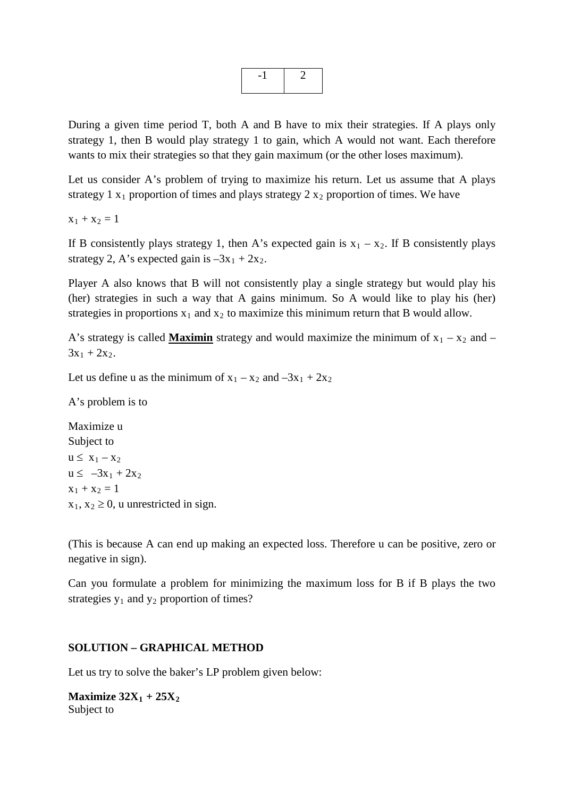During a given time period T, both A and B have to mix their strategies. If A plays only strategy 1, then B would play strategy 1 to gain, which A would not want. Each therefore wants to mix their strategies so that they gain maximum (or the other loses maximum).

Let us consider A's problem of trying to maximize his return. Let us assume that A plays strategy 1  $x_1$  proportion of times and plays strategy 2  $x_2$  proportion of times. We have

 $x_1 + x_2 = 1$ 

If B consistently plays strategy 1, then A's expected gain is  $x_1 - x_2$ . If B consistently plays strategy 2, A's expected gain is  $-3x_1 + 2x_2$ .

Player A also knows that B will not consistently play a single strategy but would play his (her) strategies in such a way that A gains minimum. So A would like to play his (her) strategies in proportions  $x_1$  and  $x_2$  to maximize this minimum return that B would allow.

A's strategy is called **Maximin** strategy and would maximize the minimum of  $x_1 - x_2$  and –  $3x_1 + 2x_2$ .

Let us define u as the minimum of  $x_1 - x_2$  and  $-3x_1 + 2x_2$ 

A's problem is to

Maximize u Subject to  $u \leq x_1 - x_2$  $u \le -3x_1 + 2x_2$  $x_1 + x_2 = 1$  $x_1, x_2 \geq 0$ , u unrestricted in sign.

(This is because A can end up making an expected loss. Therefore u can be positive, zero or negative in sign).

Can you formulate a problem for minimizing the maximum loss for B if B plays the two strategies  $y_1$  and  $y_2$  proportion of times?

## **SOLUTION – GRAPHICAL METHOD**

Let us try to solve the baker's LP problem given below:

**Maximize**  $32X_1 + 25X_2$ Subject to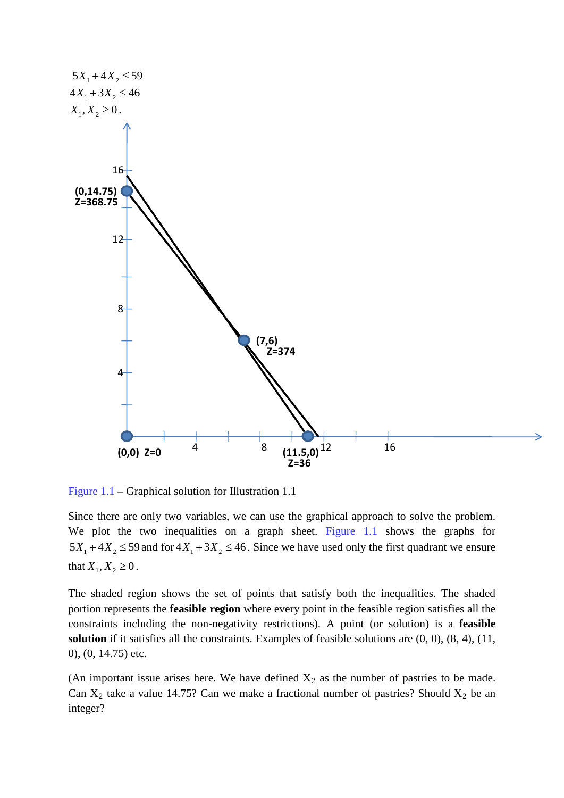

Figure 1.1 – Graphical solution for Illustration 1.1

Since there are only two variables, we can use the graphical approach to solve the problem. We plot the two inequalities on a graph sheet. Figure 1.1 shows the graphs for  $5X_1 + 4X_2 \le 59$  and for  $4X_1 + 3X_2 \le 46$ . Since we have used only the first quadrant we ensure that  $X_1, X_2 \ge 0$ .

The shaded region shows the set of points that satisfy both the inequalities. The shaded portion represents the **feasible region** where every point in the feasible region satisfies all the constraints including the non-negativity restrictions). A point (or solution) is a **feasible solution** if it satisfies all the constraints. Examples of feasible solutions are (0, 0), (8, 4), (11, 0), (0, 14.75) etc.

(An important issue arises here. We have defined  $X_2$  as the number of pastries to be made. Can  $X_2$  take a value 14.75? Can we make a fractional number of pastries? Should  $X_2$  be an integer?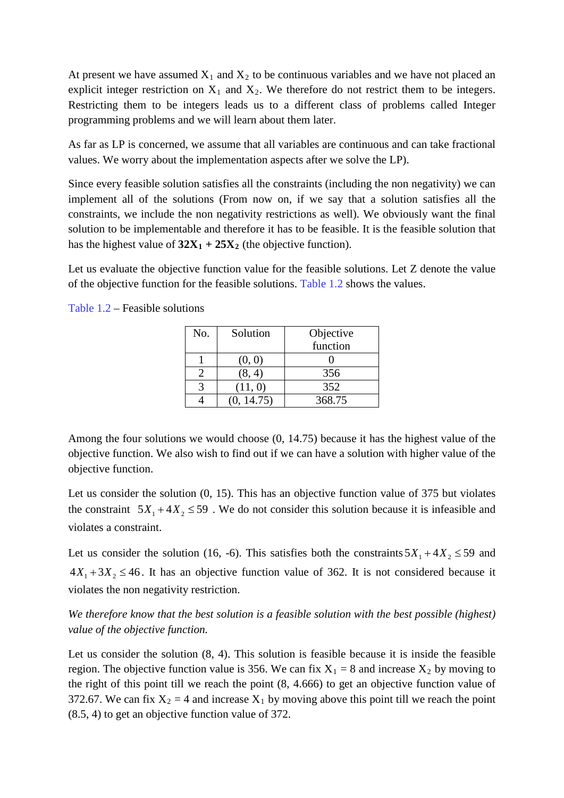At present we have assumed  $X_1$  and  $X_2$  to be continuous variables and we have not placed an explicit integer restriction on  $X_1$  and  $X_2$ . We therefore do not restrict them to be integers. Restricting them to be integers leads us to a different class of problems called Integer programming problems and we will learn about them later.

As far as LP is concerned, we assume that all variables are continuous and can take fractional values. We worry about the implementation aspects after we solve the LP).

Since every feasible solution satisfies all the constraints (including the non negativity) we can implement all of the solutions (From now on, if we say that a solution satisfies all the constraints, we include the non negativity restrictions as well). We obviously want the final solution to be implementable and therefore it has to be feasible. It is the feasible solution that has the highest value of  $32X_1 + 25X_2$  (the objective function).

Let us evaluate the objective function value for the feasible solutions. Let Z denote the value of the objective function for the feasible solutions. Table 1.2 shows the values.

| No. | Solution   | Objective |
|-----|------------|-----------|
|     |            | function  |
|     | (0, 0)     |           |
|     | (8, 4)     | 356       |
|     | (11, 0)    | 352       |
|     | (0, 14.75) | 368.75    |

Table 1.2 – Feasible solutions

Among the four solutions we would choose (0, 14.75) because it has the highest value of the objective function. We also wish to find out if we can have a solution with higher value of the objective function.

Let us consider the solution (0, 15). This has an objective function value of 375 but violates the constraint  $5X_1 + 4X_2 \le 59$ . We do not consider this solution because it is infeasible and violates a constraint.

Let us consider the solution (16, -6). This satisfies both the constraints  $5X_1 + 4X_2 \le 59$  and  $4X_1 + 3X_2 \le 46$ . It has an objective function value of 362. It is not considered because it violates the non negativity restriction.

*We therefore know that the best solution is a feasible solution with the best possible (highest) value of the objective function.*

Let us consider the solution (8, 4). This solution is feasible because it is inside the feasible region. The objective function value is 356. We can fix  $X_1 = 8$  and increase  $X_2$  by moving to the right of this point till we reach the point (8, 4.666) to get an objective function value of 372.67. We can fix  $X_2 = 4$  and increase  $X_1$  by moving above this point till we reach the point (8.5, 4) to get an objective function value of 372.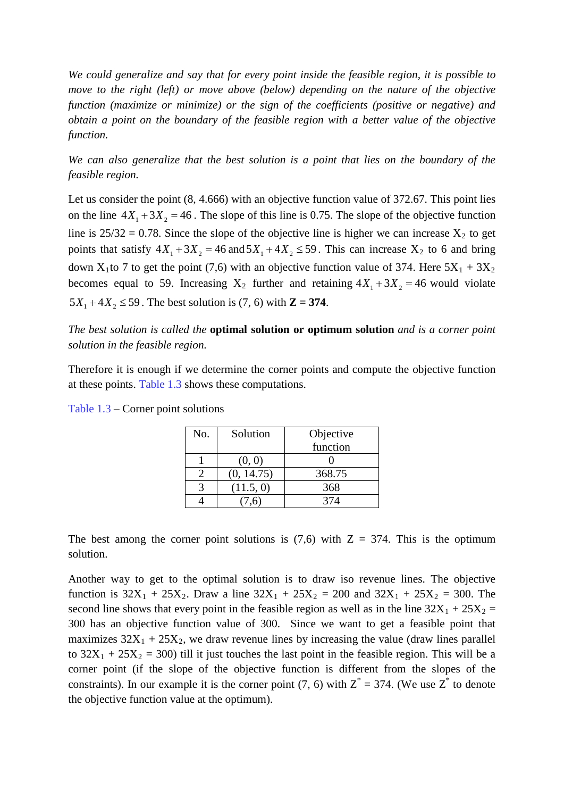*We could generalize and say that for every point inside the feasible region, it is possible to move to the right (left) or move above (below) depending on the nature of the objective function (maximize or minimize) or the sign of the coefficients (positive or negative) and obtain a point on the boundary of the feasible region with a better value of the objective function.*

*We can also generalize that the best solution is a point that lies on the boundary of the feasible region.*

Let us consider the point  $(8, 4.666)$  with an objective function value of 372.67. This point lies on the line  $4X_1 + 3X_2 = 46$ . The slope of this line is 0.75. The slope of the objective function line is  $25/32 = 0.78$ . Since the slope of the objective line is higher we can increase  $X_2$  to get points that satisfy  $4X_1 + 3X_2 = 46$  and  $5X_1 + 4X_2 \le 59$ . This can increase  $X_2$  to 6 and bring down X<sub>1</sub>to 7 to get the point (7,6) with an objective function value of 374. Here  $5X_1 + 3X_2$ becomes equal to 59. Increasing  $X_2$  further and retaining  $4X_1 + 3X_2 = 46$  would violate  $5X_1 + 4X_2 \le 59$ . The best solution is (7, 6) with  $\mathbb{Z} = 374$ .

*The best solution is called the* **optimal solution or optimum solution** *and is a corner point solution in the feasible region.* 

Therefore it is enough if we determine the corner points and compute the objective function at these points. Table 1.3 shows these computations.

| No. | Solution   | Objective |
|-----|------------|-----------|
|     |            | function  |
|     | (0, 0)     |           |
|     | (0, 14.75) | 368.75    |
|     | (11.5, 0)  | 368       |
|     |            | 374       |

Table 1.3 – Corner point solutions

The best among the corner point solutions is  $(7,6)$  with  $Z = 374$ . This is the optimum solution.

Another way to get to the optimal solution is to draw iso revenue lines. The objective function is  $32X_1 + 25X_2$ . Draw a line  $32X_1 + 25X_2 = 200$  and  $32X_1 + 25X_2 = 300$ . The second line shows that every point in the feasible region as well as in the line  $32X_1 + 25X_2 =$ 300 has an objective function value of 300. Since we want to get a feasible point that maximizes  $32X_1 + 25X_2$ , we draw revenue lines by increasing the value (draw lines parallel to  $32X_1 + 25X_2 = 300$ ) till it just touches the last point in the feasible region. This will be a corner point (if the slope of the objective function is different from the slopes of the constraints). In our example it is the corner point (7, 6) with  $Z^* = 374$ . (We use  $Z^*$  to denote the objective function value at the optimum).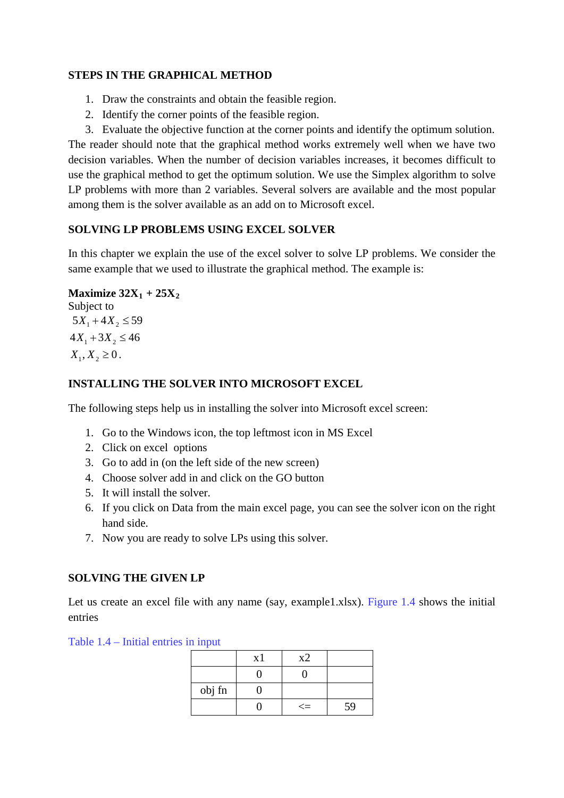### **STEPS IN THE GRAPHICAL METHOD**

- 1. Draw the constraints and obtain the feasible region.
- 2. Identify the corner points of the feasible region.

3. Evaluate the objective function at the corner points and identify the optimum solution. The reader should note that the graphical method works extremely well when we have two decision variables. When the number of decision variables increases, it becomes difficult to use the graphical method to get the optimum solution. We use the Simplex algorithm to solve LP problems with more than 2 variables. Several solvers are available and the most popular among them is the solver available as an add on to Microsoft excel.

### **SOLVING LP PROBLEMS USING EXCEL SOLVER**

In this chapter we explain the use of the excel solver to solve LP problems. We consider the same example that we used to illustrate the graphical method. The example is:

# **Maximize**  $32X_1 + 25X_2$

Subject to  $5X_1 + 4X_2 \leq 59$  $4X_1 + 3X_2 \le 46$  $X_1, X_2 \geq 0$ .

# **INSTALLING THE SOLVER INTO MICROSOFT EXCEL**

The following steps help us in installing the solver into Microsoft excel screen:

- 1. Go to the Windows icon, the top leftmost icon in MS Excel
- 2. Click on excel options
- 3. Go to add in (on the left side of the new screen)
- 4. Choose solver add in and click on the GO button
- 5. It will install the solver.
- 6. If you click on Data from the main excel page, you can see the solver icon on the right hand side.
- 7. Now you are ready to solve LPs using this solver.

# **SOLVING THE GIVEN LP**

Let us create an excel file with any name (say, example1.xlsx). Figure 1.4 shows the initial entries

Table 1.4 – Initial entries in input

|        | x1 | x2     |    |
|--------|----|--------|----|
|        |    |        |    |
| obj fn |    |        |    |
|        |    | $\leq$ | 59 |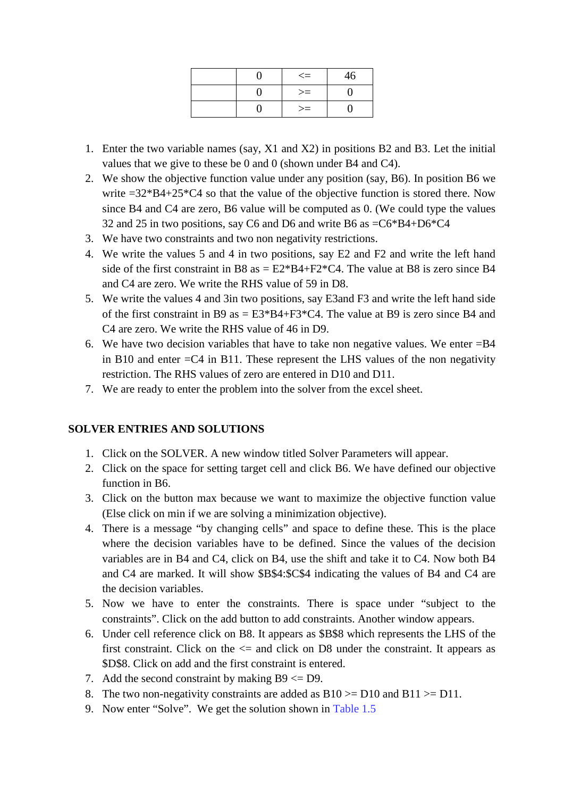|  | $\Leftarrow$ | 46 |
|--|--------------|----|
|  | $>=$         |    |
|  | $>=$         |    |

- 1. Enter the two variable names (say, X1 and X2) in positions B2 and B3. Let the initial values that we give to these be 0 and 0 (shown under B4 and C4).
- 2. We show the objective function value under any position (say, B6). In position B6 we write  $=32*B4+25*C4$  so that the value of the objective function is stored there. Now since B4 and C4 are zero, B6 value will be computed as 0. (We could type the values 32 and 25 in two positions, say C6 and D6 and write B6 as =C6\*B4+D6\*C4
- 3. We have two constraints and two non negativity restrictions.
- 4. We write the values 5 and 4 in two positions, say E2 and F2 and write the left hand side of the first constraint in B8 as  $= E2*BA+F2*C4$ . The value at B8 is zero since B4 and C4 are zero. We write the RHS value of 59 in D8.
- 5. We write the values 4 and 3in two positions, say E3and F3 and write the left hand side of the first constraint in B9 as  $=$  E3\*B4+F3\*C4. The value at B9 is zero since B4 and C4 are zero. We write the RHS value of 46 in D9.
- 6. We have two decision variables that have to take non negative values. We enter =B4 in B10 and enter  $=C4$  in B11. These represent the LHS values of the non negativity restriction. The RHS values of zero are entered in D10 and D11.
- 7. We are ready to enter the problem into the solver from the excel sheet.

#### **SOLVER ENTRIES AND SOLUTIONS**

- 1. Click on the SOLVER. A new window titled Solver Parameters will appear.
- 2. Click on the space for setting target cell and click B6. We have defined our objective function in B6.
- 3. Click on the button max because we want to maximize the objective function value (Else click on min if we are solving a minimization objective).
- 4. There is a message "by changing cells" and space to define these. This is the place where the decision variables have to be defined. Since the values of the decision variables are in B4 and C4, click on B4, use the shift and take it to C4. Now both B4 and C4 are marked. It will show \$B\$4:\$C\$4 indicating the values of B4 and C4 are the decision variables.
- 5. Now we have to enter the constraints. There is space under "subject to the constraints". Click on the add button to add constraints. Another window appears.
- 6. Under cell reference click on B8. It appears as \$B\$8 which represents the LHS of the first constraint. Click on the  $\leq$  and click on D8 under the constraint. It appears as \$D\$8. Click on add and the first constraint is entered.
- 7. Add the second constraint by making  $B9 \leq D9$ .
- 8. The two non-negativity constraints are added as  $B10 \ge D10$  and  $B11 \ge D11$ .
- 9. Now enter "Solve". We get the solution shown in Table 1.5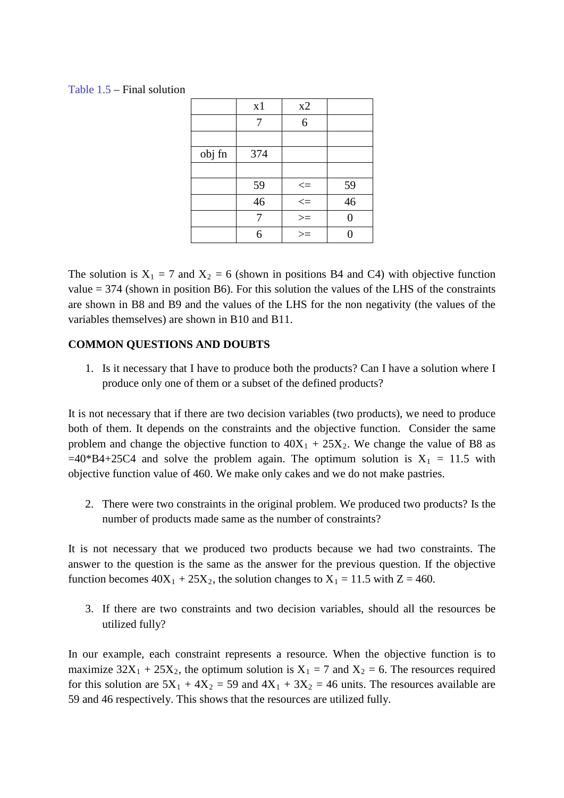Table 1.5 – Final solution

|        | x1  | x2                                                                                |                 |
|--------|-----|-----------------------------------------------------------------------------------|-----------------|
|        | 7   | 6                                                                                 |                 |
|        |     |                                                                                   |                 |
| obj fn | 374 |                                                                                   |                 |
|        |     |                                                                                   |                 |
|        | 59  |                                                                                   | $\frac{59}{46}$ |
|        | 46  | $\begin{array}{c} \Longleftarrow \\ \Longleftarrow \\ \Longleftarrow \end{array}$ |                 |
|        |     | $>=$                                                                              | ∩               |
|        | 6   | $>=$                                                                              |                 |

The solution is  $X_1 = 7$  and  $X_2 = 6$  (shown in positions B4 and C4) with objective function value  $= 374$  (shown in position B6). For this solution the values of the LHS of the constraints are shown in B8 and B9 and the values of the LHS for the non negativity (the values of the variables themselves) are shown in B10 and B11.

# **COMMON QUESTIONS AND DOUBTS**

1. Is it necessary that I have to produce both the products? Can I have a solution where I produce only one of them or a subset of the defined products?

It is not necessary that if there are two decision variables (two products), we need to produce both of them. It depends on the constraints and the objective function. Consider the same problem and change the objective function to  $40X_1 + 25X_2$ . We change the value of B8 as  $=40*B4+25C4$  and solve the problem again. The optimum solution is  $X_1 = 11.5$  with objective function value of 460. We make only cakes and we do not make pastries.

2. There were two constraints in the original problem. We produced two products? Is the number of products made same as the number of constraints?

It is not necessary that we produced two products because we had two constraints. The answer to the question is the same as the answer for the previous question. If the objective function becomes  $40X_1 + 25X_2$ , the solution changes to  $X_1 = 11.5$  with  $Z = 460$ .

3. If there are two constraints and two decision variables, should all the resources be utilized fully?

In our example, each constraint represents a resource. When the objective function is to maximize  $32X_1 + 25X_2$ , the optimum solution is  $X_1 = 7$  and  $X_2 = 6$ . The resources required for this solution are  $5X_1 + 4X_2 = 59$  and  $4X_1 + 3X_2 = 46$  units. The resources available are 59 and 46 respectively. This shows that the resources are utilized fully.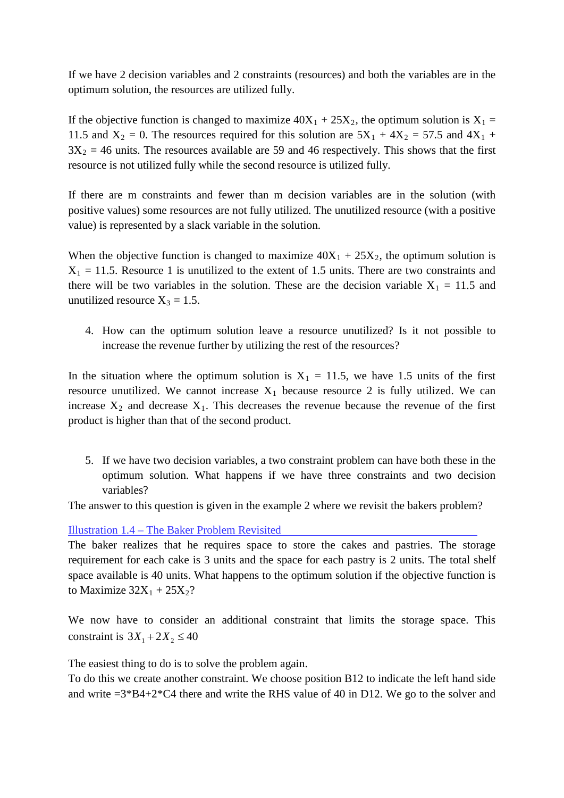If we have 2 decision variables and 2 constraints (resources) and both the variables are in the optimum solution, the resources are utilized fully.

If the objective function is changed to maximize  $40X_1 + 25X_2$ , the optimum solution is  $X_1 =$ 11.5 and  $X_2 = 0$ . The resources required for this solution are  $5X_1 + 4X_2 = 57.5$  and  $4X_1 +$  $3X_2 = 46$  units. The resources available are 59 and 46 respectively. This shows that the first resource is not utilized fully while the second resource is utilized fully.

If there are m constraints and fewer than m decision variables are in the solution (with positive values) some resources are not fully utilized. The unutilized resource (with a positive value) is represented by a slack variable in the solution.

When the objective function is changed to maximize  $40X_1 + 25X_2$ , the optimum solution is  $X_1 = 11.5$ . Resource 1 is unutilized to the extent of 1.5 units. There are two constraints and there will be two variables in the solution. These are the decision variable  $X_1 = 11.5$  and unutilized resource  $X_3 = 1.5$ .

4. How can the optimum solution leave a resource unutilized? Is it not possible to increase the revenue further by utilizing the rest of the resources?

In the situation where the optimum solution is  $X_1 = 11.5$ , we have 1.5 units of the first resource unutilized. We cannot increase  $X_1$  because resource 2 is fully utilized. We can increase  $X_2$  and decrease  $X_1$ . This decreases the revenue because the revenue of the first product is higher than that of the second product.

5. If we have two decision variables, a two constraint problem can have both these in the optimum solution. What happens if we have three constraints and two decision variables?

The answer to this question is given in the example 2 where we revisit the bakers problem?

Illustration 1.4 – The Baker Problem Revisited

The baker realizes that he requires space to store the cakes and pastries. The storage requirement for each cake is 3 units and the space for each pastry is 2 units. The total shelf space available is 40 units. What happens to the optimum solution if the objective function is to Maximize  $32X_1 + 25X_2$ ?

We now have to consider an additional constraint that limits the storage space. This constraint is  $3X_1 + 2X_2 \le 40$ 

The easiest thing to do is to solve the problem again.

To do this we create another constraint. We choose position B12 to indicate the left hand side and write  $=3*BA+2*C4$  there and write the RHS value of 40 in D12. We go to the solver and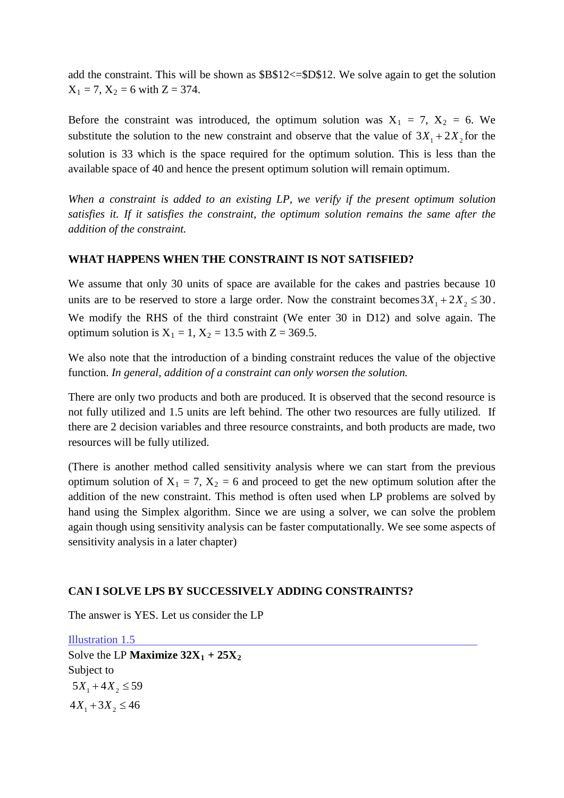add the constraint. This will be shown as \$B\$12<=\$D\$12. We solve again to get the solution  $X_1 = 7$ ,  $X_2 = 6$  with  $Z = 374$ .

Before the constraint was introduced, the optimum solution was  $X_1 = 7$ ,  $X_2 = 6$ . We substitute the solution to the new constraint and observe that the value of  $3X_1 + 2X_2$  for the solution is 33 which is the space required for the optimum solution. This is less than the available space of 40 and hence the present optimum solution will remain optimum.

*When a constraint is added to an existing LP, we verify if the present optimum solution satisfies it. If it satisfies the constraint, the optimum solution remains the same after the addition of the constraint.*

### **WHAT HAPPENS WHEN THE CONSTRAINT IS NOT SATISFIED?**

We assume that only 30 units of space are available for the cakes and pastries because 10 units are to be reserved to store a large order. Now the constraint becomes  $3X_1 + 2X_2 \le 30$ . We modify the RHS of the third constraint (We enter 30 in D12) and solve again. The optimum solution is  $X_1 = 1$ ,  $X_2 = 13.5$  with  $Z = 369.5$ .

We also note that the introduction of a binding constraint reduces the value of the objective function. *In general, addition of a constraint can only worsen the solution.*

There are only two products and both are produced. It is observed that the second resource is not fully utilized and 1.5 units are left behind. The other two resources are fully utilized. If there are 2 decision variables and three resource constraints, and both products are made, two resources will be fully utilized.

(There is another method called sensitivity analysis where we can start from the previous optimum solution of  $X_1 = 7$ ,  $X_2 = 6$  and proceed to get the new optimum solution after the addition of the new constraint. This method is often used when LP problems are solved by hand using the Simplex algorithm. Since we are using a solver, we can solve the problem again though using sensitivity analysis can be faster computationally. We see some aspects of sensitivity analysis in a later chapter)

#### **CAN I SOLVE LPS BY SUCCESSIVELY ADDING CONSTRAINTS?**

The answer is YES. Let us consider the LP

Illustration 1.5 Solve the LP **Maximize**  $32X_1 + 25X_2$ Subject to  $5X_1 + 4X_2 \leq 59$  $4X_1 + 3X_2 \le 46$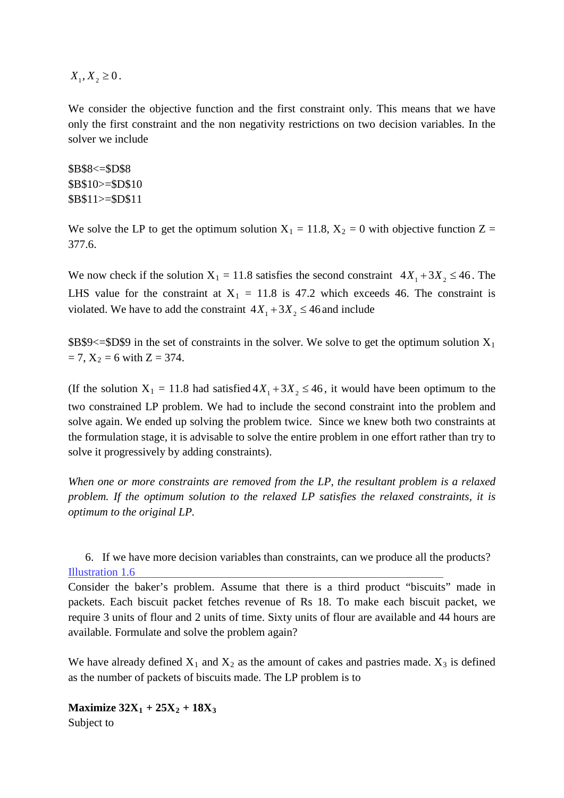$X_1, X_2 \geq 0$ .

We consider the objective function and the first constraint only. This means that we have only the first constraint and the non negativity restrictions on two decision variables. In the solver we include

\$B\$8<=\$D\$8 \$B\$10>=\$D\$10 \$B\$11>=\$D\$11

We solve the LP to get the optimum solution  $X_1 = 11.8$ ,  $X_2 = 0$  with objective function Z = 377.6.

We now check if the solution  $X_1 = 11.8$  satisfies the second constraint  $4X_1 + 3X_2 \le 46$ . The LHS value for the constraint at  $X_1 = 11.8$  is 47.2 which exceeds 46. The constraint is violated. We have to add the constraint  $4X_1 + 3X_2 \le 46$  and include

 $B$9<= $D$9$  in the set of constraints in the solver. We solve to get the optimum solution  $X_1$  $= 7, X_2 = 6$  with  $Z = 374$ .

(If the solution  $X_1 = 11.8$  had satisfied  $4X_1 + 3X_2 \le 46$ , it would have been optimum to the two constrained LP problem. We had to include the second constraint into the problem and solve again. We ended up solving the problem twice. Since we knew both two constraints at the formulation stage, it is advisable to solve the entire problem in one effort rather than try to solve it progressively by adding constraints).

*When one or more constraints are removed from the LP, the resultant problem is a relaxed problem. If the optimum solution to the relaxed LP satisfies the relaxed constraints, it is optimum to the original LP.*

6. If we have more decision variables than constraints, can we produce all the products? Illustration 1.6

Consider the baker's problem. Assume that there is a third product "biscuits" made in packets. Each biscuit packet fetches revenue of Rs 18. To make each biscuit packet, we require 3 units of flour and 2 units of time. Sixty units of flour are available and 44 hours are available. Formulate and solve the problem again?

We have already defined  $X_1$  and  $X_2$  as the amount of cakes and pastries made.  $X_3$  is defined as the number of packets of biscuits made. The LP problem is to

**Maximize**  $32X_1 + 25X_2 + 18X_3$ Subject to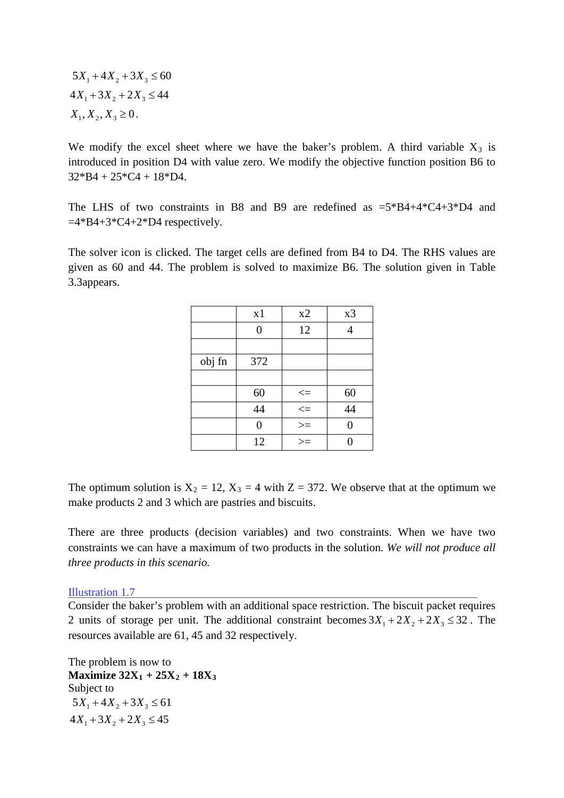$5X_1 + 4X_2 + 3X_3 \leq 60$  $4X_1 + 3X_2 + 2X_3 \le 44$  $X_1, X_2, X_3 \geq 0$ .

We modify the excel sheet where we have the baker's problem. A third variable  $X_3$  is introduced in position D4 with value zero. We modify the objective function position B6 to  $32*B4 + 25*C4 + 18*D4.$ 

The LHS of two constraints in B8 and B9 are redefined as  $=5*B4+4*C4+3*D4$  and  $=4*B4+3*C4+2*D4$  respectively.

The solver icon is clicked. The target cells are defined from B4 to D4. The RHS values are given as 60 and 44. The problem is solved to maximize B6. The solution given in Table 3.3appears.

|        | x1             | x2             | x3 |
|--------|----------------|----------------|----|
|        | $\overline{0}$ | 12             |    |
|        |                |                |    |
| obj fn | 372            |                |    |
|        |                |                |    |
|        | 60             |                | 60 |
|        | 44             | $\frac{1}{1}$  | 44 |
|        | 0              | $\overline{z}$ | ∩  |
|        | 12             | $\geq$         |    |

The optimum solution is  $X_2 = 12$ ,  $X_3 = 4$  with  $Z = 372$ . We observe that at the optimum we make products 2 and 3 which are pastries and biscuits.

There are three products (decision variables) and two constraints. When we have two constraints we can have a maximum of two products in the solution. *We will not produce all three products in this scenario.* 

Illustration 1.7

Consider the baker's problem with an additional space restriction. The biscuit packet requires 2 units of storage per unit. The additional constraint becomes  $3X_1 + 2X_2 + 2X_3 \le 32$ . The resources available are 61, 45 and 32 respectively.

The problem is now to **Maximize 32X1 + 25X2 + 18X3** Subject to  $5X_1 + 4X_2 + 3X_3 \leq 61$  $4X_1 + 3X_2 + 2X_3 \le 45$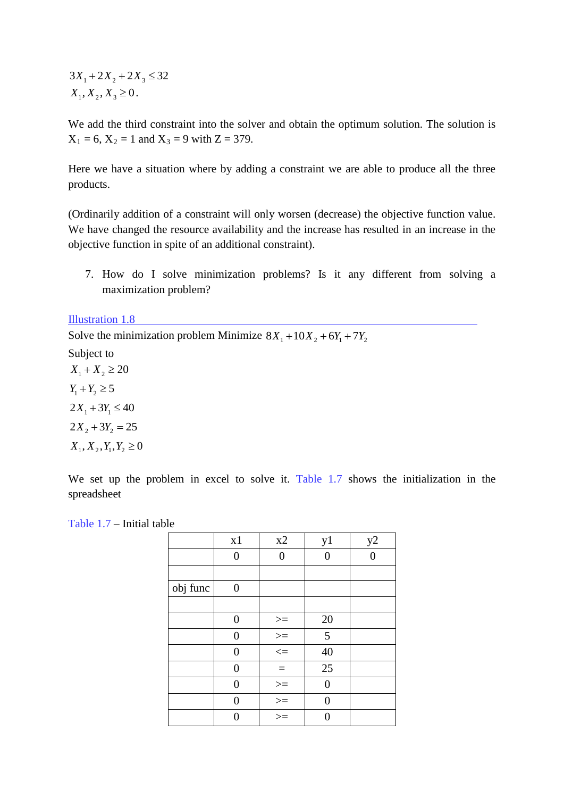$3X_1 + 2X_2 + 2X_3 \leq 32$  $X_1, X_2, X_3 \geq 0$ .

We add the third constraint into the solver and obtain the optimum solution. The solution is  $X_1 = 6$ ,  $X_2 = 1$  and  $X_3 = 9$  with  $Z = 379$ .

Here we have a situation where by adding a constraint we are able to produce all the three products.

(Ordinarily addition of a constraint will only worsen (decrease) the objective function value. We have changed the resource availability and the increase has resulted in an increase in the objective function in spite of an additional constraint).

7. How do I solve minimization problems? Is it any different from solving a maximization problem?

Illustration 1.8

Solve the minimization problem Minimize  $8X_1 + 10X_2 + 6Y_1 + 7Y_2$ 

Subject to

 $X_1 + X_2 \ge 20$  $Y_1 + Y_2 \ge 5$  $2X_1 + 3Y_1 \leq 40$  $2X_2 + 3Y_2 = 25$  $X_1, X_2, Y_1, Y_2 \ge 0$ 

We set up the problem in excel to solve it. Table 1.7 shows the initialization in the spreadsheet

| Table 1.7 – Initial table |  |  |  |
|---------------------------|--|--|--|
|                           |  |  |  |

|          | x1             | x2                    | y1 | y2       |
|----------|----------------|-----------------------|----|----------|
|          | 0              | $\overline{0}$        | 0  | $\Omega$ |
|          |                |                       |    |          |
| obj func | 0              |                       |    |          |
|          |                |                       |    |          |
|          | $\overline{0}$ | $\geq$                | 20 |          |
|          | 0              | $\frac{1}{\sqrt{11}}$ | 5  |          |
|          | 0              |                       | 40 |          |
|          | 0              | $=$                   | 25 |          |
|          | 0              |                       | 0  |          |
|          | 0              | $\frac{1}{100}$       | 0  |          |
|          |                | $\geq$                |    |          |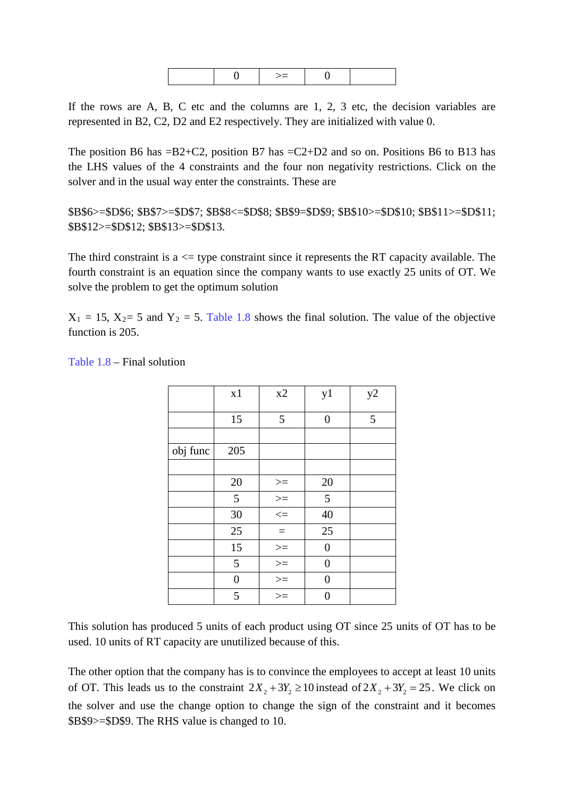If the rows are A, B, C etc and the columns are 1, 2, 3 etc, the decision variables are represented in B2, C2, D2 and E2 respectively. They are initialized with value 0.

The position B6 has  $=$ B2+C2, position B7 has  $=$ C2+D2 and so on. Positions B6 to B13 has the LHS values of the 4 constraints and the four non negativity restrictions. Click on the solver and in the usual way enter the constraints. These are

\$B\$6>=\$D\$6; \$B\$7>=\$D\$7; \$B\$8<=\$D\$8; \$B\$9=\$D\$9; \$B\$10>=\$D\$10; \$B\$11>=\$D\$11; \$B\$12>=\$D\$12; \$B\$13>=\$D\$13.

The third constraint is  $a \leq$  type constraint since it represents the RT capacity available. The fourth constraint is an equation since the company wants to use exactly 25 units of OT. We solve the problem to get the optimum solution

 $X_1 = 15$ ,  $X_2 = 5$  and  $Y_2 = 5$ . Table 1.8 shows the final solution. The value of the objective function is 205.

|          | x1             | x2            | y1             | y2 |
|----------|----------------|---------------|----------------|----|
|          | 15             | 5             | $\overline{0}$ | 5  |
|          |                |               |                |    |
| obj func | 205            |               |                |    |
|          |                |               |                |    |
|          | 20             | $>=$          | 20             |    |
|          | $\overline{5}$ | $\frac{1}{2}$ | 5              |    |
|          | 30             | $\leq$        | 40             |    |
|          | 25             | $\equiv$      | 25             |    |
|          | 15             | $> =$         | $\overline{0}$ |    |
|          | 5              | $>=$          | $\overline{0}$ |    |
|          | $\overline{0}$ | $>=$          | 0              |    |
|          | 5              | $>=$          | 0              |    |

Table 1.8 – Final solution

This solution has produced 5 units of each product using OT since 25 units of OT has to be used. 10 units of RT capacity are unutilized because of this.

The other option that the company has is to convince the employees to accept at least 10 units of OT. This leads us to the constraint  $2X_2 + 3Y_2 \ge 10$  instead of  $2X_2 + 3Y_2 = 25$ . We click on the solver and use the change option to change the sign of the constraint and it becomes \$B\$9>=\$D\$9. The RHS value is changed to 10.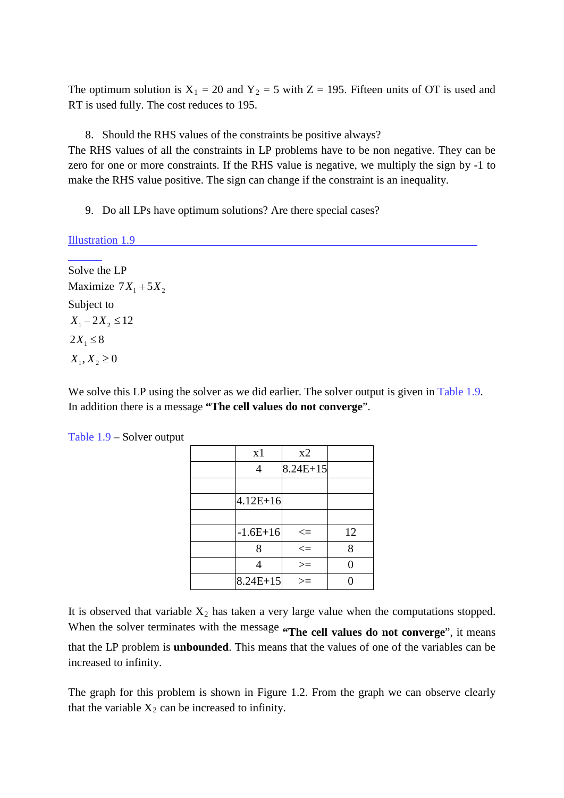The optimum solution is  $X_1 = 20$  and  $Y_2 = 5$  with  $Z = 195$ . Fifteen units of OT is used and RT is used fully. The cost reduces to 195.

8. Should the RHS values of the constraints be positive always?

The RHS values of all the constraints in LP problems have to be non negative. They can be zero for one or more constraints. If the RHS value is negative, we multiply the sign by -1 to make the RHS value positive. The sign can change if the constraint is an inequality.

9. Do all LPs have optimum solutions? Are there special cases?

Illustration 1.9

Solve the LP Maximize  $7X_1 + 5X_2$ Subject to  $X_1 - 2X_2 \leq 12$  $2X_1 \leq 8$  $X_1, X_2 \ge 0$ 

We solve this LP using the solver as we did earlier. The solver output is given in Table 1.9. In addition there is a message **"The cell values do not converge**".

| x1           | x2         |    |
|--------------|------------|----|
| 4            | $8.24E+15$ |    |
|              |            |    |
| $4.12E + 16$ |            |    |
|              |            |    |
| $-1.6E+16$   | $\leq$     | 12 |
| 8            | $\leq$     | 8  |
|              | $>=$       | 0  |
| $8.24E+15$   | >≕         |    |

Table 1.9 – Solver output

It is observed that variable  $X_2$  has taken a very large value when the computations stopped.

When the solver terminates with the message "The cell values do not converge", it means that the LP problem is **unbounded**. This means that the values of one of the variables can be increased to infinity.

The graph for this problem is shown in Figure 1.2. From the graph we can observe clearly that the variable  $X_2$  can be increased to infinity.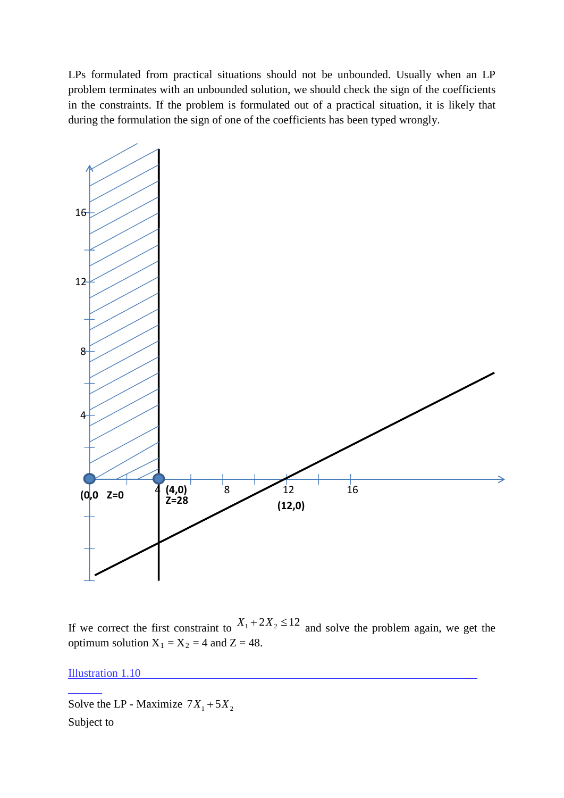LPs formulated from practical situations should not be unbounded. Usually when an LP problem terminates with an unbounded solution, we should check the sign of the coefficients in the constraints. If the problem is formulated out of a practical situation, it is likely that during the formulation the sign of one of the coefficients has been typed wrongly.



If we correct the first constraint to  $X_1 + 2X_2 \le 12$  and solve the problem again, we get the optimum solution  $X_1 = X_2 = 4$  and  $Z = 48$ .

Illustration 1.10

Solve the LP - Maximize  $7X_1 + 5X_2$ Subject to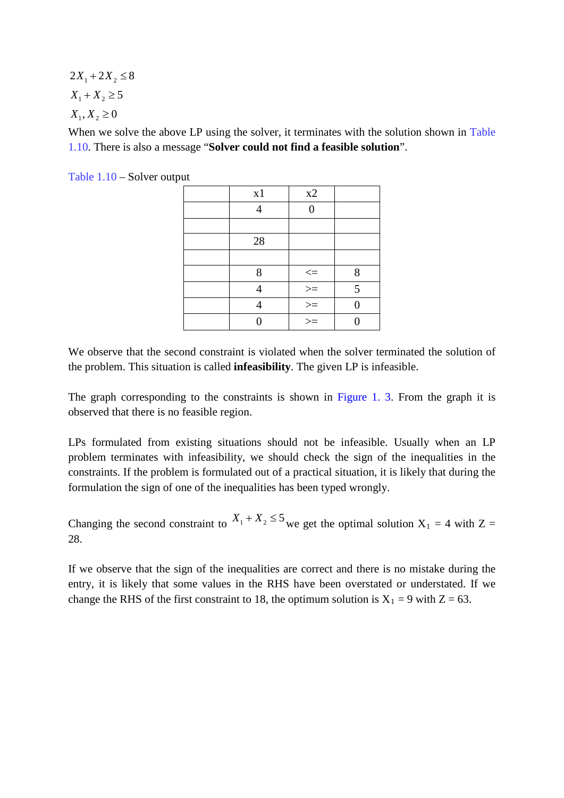$2X_1 + 2X_2 \leq 8$  $X_1 + X_2 \ge 5$  $X_1, X_2 \ge 0$ 

When we solve the above LP using the solver, it terminates with the solution shown in Table 1.10. There is also a message "**Solver could not find a feasible solution**".

Table 1.10 – Solver output

| x1 | x2                      |   |
|----|-------------------------|---|
| Δ  | ∩                       |   |
|    |                         |   |
| 28 |                         |   |
|    |                         |   |
| 8  | $< =$                   | 8 |
|    |                         | 5 |
|    | $\frac{1}{\frac{1}{x}}$ | 0 |
|    |                         |   |

We observe that the second constraint is violated when the solver terminated the solution of the problem. This situation is called **infeasibility**. The given LP is infeasible.

The graph corresponding to the constraints is shown in Figure 1. 3. From the graph it is observed that there is no feasible region.

LPs formulated from existing situations should not be infeasible. Usually when an LP problem terminates with infeasibility, we should check the sign of the inequalities in the constraints. If the problem is formulated out of a practical situation, it is likely that during the formulation the sign of one of the inequalities has been typed wrongly.

Changing the second constraint to  $X_1 + X_2 \le 5$  we get the optimal solution  $X_1 = 4$  with Z = 28.

If we observe that the sign of the inequalities are correct and there is no mistake during the entry, it is likely that some values in the RHS have been overstated or understated. If we change the RHS of the first constraint to 18, the optimum solution is  $X_1 = 9$  with  $Z = 63$ .